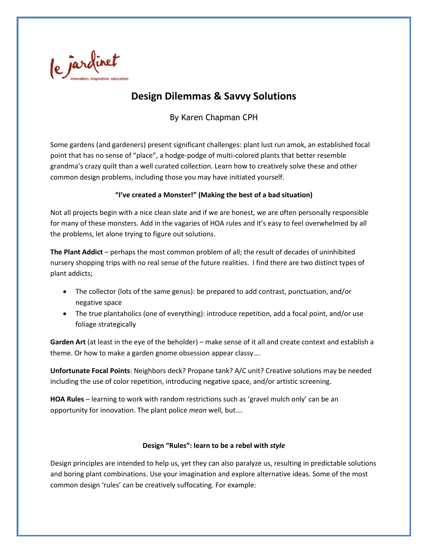

# **Design Dilemmas & Savvy Solutions**

By Karen Chapman CPH

Some gardens (and gardeners) present significant challenges: plant lust run amok, an established focal point that has no sense of "place", a hodge-podge of multi-colored plants that better resemble grandma's crazy quilt than a well curated collection. Learn how to creatively solve these and other common design problems, including those you may have initiated yourself.

## **"I've created a Monster!" (Making the best of a bad situation)**

Not all projects begin with a nice clean slate and if we are honest, we are often personally responsible for many of these monsters. Add in the vagaries of HOA rules and it's easy to feel overwhelmed by all the problems, let alone trying to figure out solutions.

**The Plant Addict** – perhaps the most common problem of all; the result of decades of uninhibited nursery shopping trips with no real sense of the future realities. I find there are two distinct types of plant addicts;

- The collector (lots of the same genus): be prepared to add contrast, punctuation, and/or negative space
- The true plantaholics (one of everything): introduce repetition, add a focal point, and/or use foliage strategically

**Garden Art** (at least in the eye of the beholder) – make sense of it all and create context and establish a theme. Or how to make a garden gnome obsession appear classy….

**Unfortunate Focal Points**: Neighbors deck? Propane tank? A/C unit? Creative solutions may be needed including the use of color repetition, introducing negative space, and/or artistic screening.

**HOA Rules** – learning to work with random restrictions such as 'gravel mulch only' can be an opportunity for innovation. The plant police *mean* well, but….

## **Design "Rules": learn to be a rebel with** *style*

Design principles are intended to help us, yet they can also paralyze us, resulting in predictable solutions and boring plant combinations. Use your imagination and explore alternative ideas. Some of the most common design 'rules' can be creatively suffocating. For example: